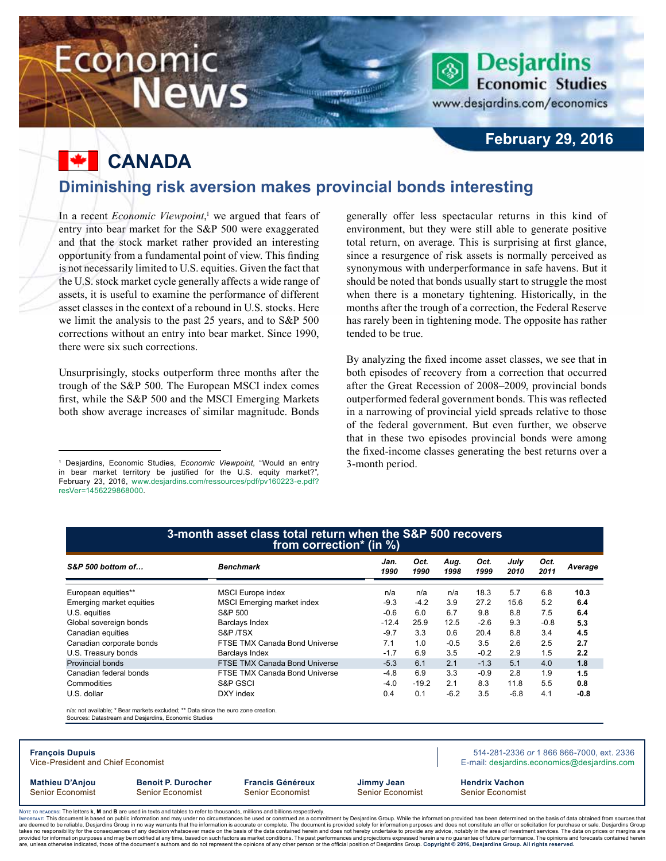## Economic **News**

www.desjardins.com/economics

**Desjardins Economic Studies** 

## **February 29, 2016**

**Canada**

## **Diminishing risk aversion makes provincial bonds interesting**

-m

In a recent *Economic Viewpoint*,<sup>1</sup> we argued that fears of entry into bear market for the S&P 500 were exaggerated and that the stock market rather provided an interesting opportunity from a fundamental point of view. This finding is not necessarily limited to U.S. equities. Given the fact that the U.S. stock market cycle generally affects a wide range of assets, it is useful to examine the performance of different asset classes in the context of a rebound in U.S. stocks. Here we limit the analysis to the past 25 years, and to S&P 500 corrections without an entry into bear market. Since 1990, there were six such corrections.

Unsurprisingly, stocks outperform three months after the trough of the S&P 500. The European MSCI index comes first, while the S&P 500 and the MSCI Emerging Markets both show average increases of similar magnitude. Bonds generally offer less spectacular returns in this kind of environment, but they were still able to generate positive total return, on average. This is surprising at first glance, since a resurgence of risk assets is normally perceived as synonymous with underperformance in safe havens. But it should be noted that bonds usually start to struggle the most when there is a monetary tightening. Historically, in the months after the trough of a correction, the Federal Reserve has rarely been in tightening mode. The opposite has rather tended to be true.

By analyzing the fixed income asset classes, we see that in both episodes of recovery from a correction that occurred after the Great Recession of 2008–2009, provincial bonds outperformed federal government bonds. This was reflected in a narrowing of provincial yield spreads relative to those of the federal government. But even further, we observe that in these two episodes provincial bonds were among the fixed-income classes generating the best returns over a 3‑month period.

| S&P 500 bottom of                                            |                                                                                                                                            | <b>Benchmark</b>                     | Jan.<br>1990 | Oct.<br>1990 | Aug.<br>1998 | Oct.<br>1999 | July<br>2010 | Oct.<br>2011 | Average                                                                                  |
|--------------------------------------------------------------|--------------------------------------------------------------------------------------------------------------------------------------------|--------------------------------------|--------------|--------------|--------------|--------------|--------------|--------------|------------------------------------------------------------------------------------------|
| European equities**                                          |                                                                                                                                            | <b>MSCI</b> Europe index             | n/a          | n/a          | n/a          | 18.3         | 5.7          | 6.8          | 10.3                                                                                     |
| Emerging market equities                                     |                                                                                                                                            | <b>MSCI</b> Emerging market index    | $-9.3$       | $-4.2$       | 3.9          | 27.2         | 15.6         | 5.2          | 6.4                                                                                      |
| U.S. equities                                                |                                                                                                                                            | S&P 500                              | $-0.6$       | 6.0          | 6.7          | 9.8          | 8.8          | 7.5          | 6.4                                                                                      |
| Global sovereign bonds                                       |                                                                                                                                            | Barclays Index                       | $-12.4$      | 25.9         | 12.5         | $-2.6$       | 9.3          | $-0.8$       | 5.3                                                                                      |
| Canadian equities                                            |                                                                                                                                            | S&P/TSX                              | $-9.7$       | 3.3          | 0.6          | 20.4         | 8.8          | 3.4          | 4.5                                                                                      |
| Canadian corporate bonds                                     |                                                                                                                                            | FTSE TMX Canada Bond Universe        | 7.1          | 1.0          | $-0.5$       | 3.5          | 2.6          | 2.5          | 2.7                                                                                      |
| U.S. Treasury bonds                                          |                                                                                                                                            | <b>Barclays Index</b>                | $-1.7$       | 6.9          | 3.5          | $-0.2$       | 2.9          | 1.5          | 2.2                                                                                      |
| Provincial bonds                                             |                                                                                                                                            | <b>FTSE TMX Canada Bond Universe</b> | $-5.3$       | 6.1          | 2.1          | $-1.3$       | 5.1          | 4.0          | 1.8                                                                                      |
| Canadian federal bonds                                       |                                                                                                                                            | <b>FTSE TMX Canada Bond Universe</b> | $-4.8$       | 6.9          | 3.3          | $-0.9$       | 2.8          | 1.9          | 1.5                                                                                      |
| Commodities                                                  |                                                                                                                                            | S&P GSCI                             | $-4.0$       | $-19.2$      | 2.1          | 8.3          | 11.8         | 5.5          | 0.8                                                                                      |
| U.S. dollar                                                  |                                                                                                                                            | DXY index                            | 0.4          | 0.1          | $-6.2$       | 3.5          | $-6.8$       | 4.1          | $-0.8$                                                                                   |
|                                                              | n/a: not available: * Bear markets excluded: ** Data since the euro zone creation.<br>Sources: Datastream and Desjardins, Economic Studies |                                      |              |              |              |              |              |              | 514-281-2336 or 1 866 866-7000, ext. 2336<br>E-mail: desjardins.economics@desjardins.com |
| <b>Francois Dupuis</b><br>Vice-President and Chief Economist |                                                                                                                                            |                                      |              |              |              |              |              |              |                                                                                          |

Noте то келоекs: The letters **k, M** and **B** are used in texts and tables to refer to thousands, millions and billions respectively.<br>Імроктлит: This document is based on public information and may under no circumstances be are deemed to be reliable. Desiardins Group in no way warrants that the information is accurate or complete. The document is provided solely for information purposes and does not constitute an offer or solicitation for pur takes no responsibility for the consequences of any decision whatsoever made on the basis of the data contained herein and does not hereby undertake to provide any advice, notably in the area of investment services. The da procession of the consequences of the matter of the consequence of the conditions. The past performances and projections expressed he<br>Information purposes and may be modified at any time, based on such factors as market co .<br>are, unless otherwise indicated, those of the document's authors and do not represent the opinions of any other person or the official position of Desjardins Group. Copyright © 2016, Desjardins Group. All rights reserve

<sup>1</sup> Desjardins, Economic Studies, *Economic Viewpoint*, "Would an entry in bear market territory be justified for the U.S. equity market?", February 23, 2016, [www.desjardins.com/ressources/pdf/pv160223-e.pdf?](http://www.desjardins.com/ressources/pdf/pv160223-e.pdf?resVer=1456229868000) [resVer=1456229868000.](http://www.desjardins.com/ressources/pdf/pv160223-e.pdf?resVer=1456229868000)